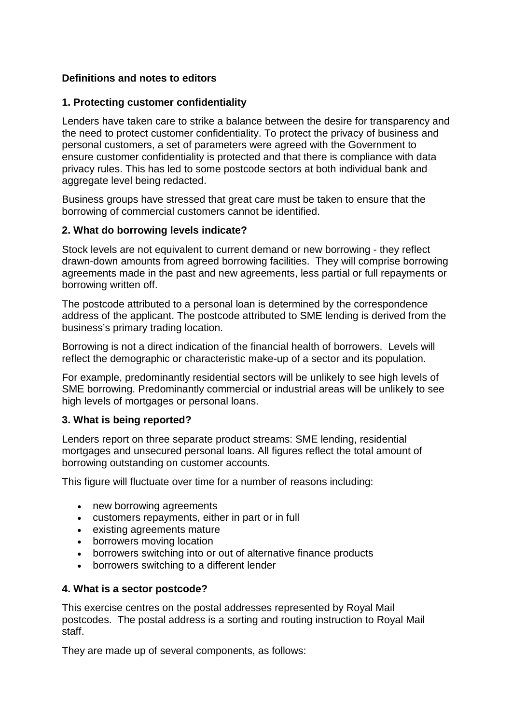# **Definitions and notes to editors**

### **1. Protecting customer confidentiality**

Lenders have taken care to strike a balance between the desire for transparency and the need to protect customer confidentiality. To protect the privacy of business and personal customers, a set of parameters were agreed with the Government to ensure customer confidentiality is protected and that there is compliance with data privacy rules. This has led to some postcode sectors at both individual bank and aggregate level being redacted.

Business groups have stressed that great care must be taken to ensure that the borrowing of commercial customers cannot be identified.

#### **2. What do borrowing levels indicate?**

Stock levels are not equivalent to current demand or new borrowing - they reflect drawn-down amounts from agreed borrowing facilities. They will comprise borrowing agreements made in the past and new agreements, less partial or full repayments or borrowing written off.

The postcode attributed to a personal loan is determined by the correspondence address of the applicant. The postcode attributed to SME lending is derived from the business's primary trading location.

Borrowing is not a direct indication of the financial health of borrowers. Levels will reflect the demographic or characteristic make-up of a sector and its population.

For example, predominantly residential sectors will be unlikely to see high levels of SME borrowing. Predominantly commercial or industrial areas will be unlikely to see high levels of mortgages or personal loans.

#### **3. What is being reported?**

Lenders report on three separate product streams: SME lending, residential mortgages and unsecured personal loans. All figures reflect the total amount of borrowing outstanding on customer accounts.

This figure will fluctuate over time for a number of reasons including:

- new borrowing agreements
- customers repayments, either in part or in full
- existing agreements mature
- borrowers moving location
- borrowers switching into or out of alternative finance products
- borrowers switching to a different lender

#### **4. What is a sector postcode?**

This exercise centres on the postal addresses represented by Royal Mail postcodes. The postal address is a sorting and routing instruction to Royal Mail staff.

They are made up of several components, as follows: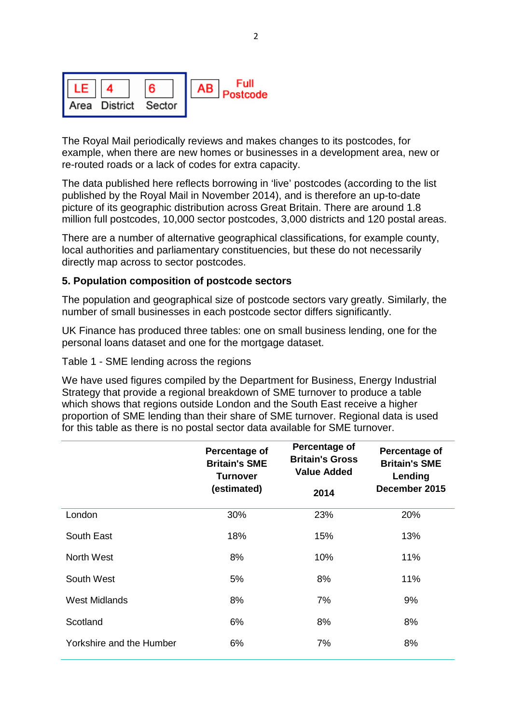

The Royal Mail periodically reviews and makes changes to its postcodes, for example, when there are new homes or businesses in a development area, new or re-routed roads or a lack of codes for extra capacity.

The data published here reflects borrowing in 'live' postcodes (according to the list published by the Royal Mail in November 2014), and is therefore an up-to-date picture of its geographic distribution across Great Britain. There are around 1.8 million full postcodes, 10,000 sector postcodes, 3,000 districts and 120 postal areas.

There are a number of alternative geographical classifications, for example county, local authorities and parliamentary constituencies, but these do not necessarily directly map across to sector postcodes.

#### **5. Population composition of postcode sectors**

The population and geographical size of postcode sectors vary greatly. Similarly, the number of small businesses in each postcode sector differs significantly.

UK Finance has produced three tables: one on small business lending, one for the personal loans dataset and one for the mortgage dataset.

Table 1 - SME lending across the regions

We have used figures compiled by the Department for Business, Energy Industrial Strategy that provide a regional breakdown of SME turnover to produce a table which shows that regions outside London and the South East receive a higher proportion of SME lending than their share of SME turnover. Regional data is used for this table as there is no postal sector data available for SME turnover.

|                          | Percentage of<br><b>Britain's SME</b><br><b>Turnover</b><br>(estimated) | Percentage of<br><b>Britain's Gross</b><br><b>Value Added</b> | Percentage of<br><b>Britain's SME</b><br>Lending<br>December 2015 |
|--------------------------|-------------------------------------------------------------------------|---------------------------------------------------------------|-------------------------------------------------------------------|
|                          |                                                                         | 2014                                                          |                                                                   |
| London                   | 30%                                                                     | 23%                                                           | 20%                                                               |
| South East               | 18%                                                                     | 15%                                                           | 13%                                                               |
| North West               | 8%                                                                      | 10%                                                           | 11%                                                               |
| South West               | 5%                                                                      | 8%                                                            | 11%                                                               |
| West Midlands            | 8%                                                                      | 7%                                                            | 9%                                                                |
| Scotland                 | 6%                                                                      | 8%                                                            | 8%                                                                |
| Yorkshire and the Humber | 6%                                                                      | 7%                                                            | 8%                                                                |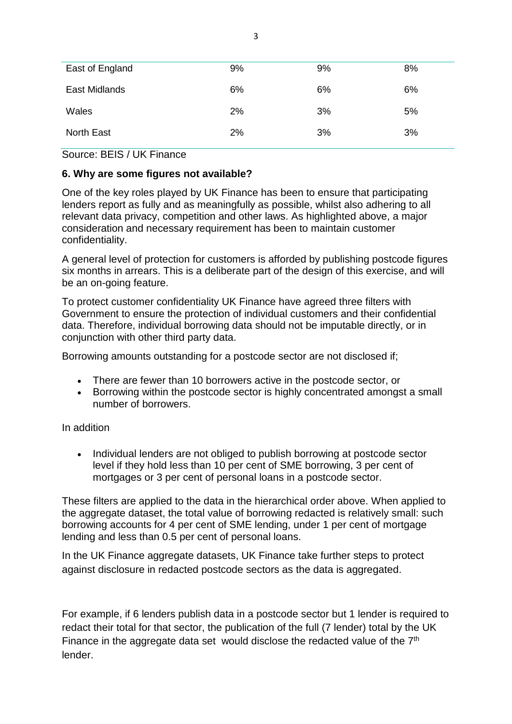| East of England | 9% | 9% | 8% |
|-----------------|----|----|----|
| East Midlands   | 6% | 6% | 6% |
| Wales           | 2% | 3% | 5% |
| North East      | 2% | 3% | 3% |

Source: BEIS / UK Finance

## **6. Why are some figures not available?**

One of the key roles played by UK Finance has been to ensure that participating lenders report as fully and as meaningfully as possible, whilst also adhering to all relevant data privacy, competition and other laws. As highlighted above, a major consideration and necessary requirement has been to maintain customer confidentiality.

A general level of protection for customers is afforded by publishing postcode figures six months in arrears. This is a deliberate part of the design of this exercise, and will be an on-going feature.

To protect customer confidentiality UK Finance have agreed three filters with Government to ensure the protection of individual customers and their confidential data. Therefore, individual borrowing data should not be imputable directly, or in conjunction with other third party data.

Borrowing amounts outstanding for a postcode sector are not disclosed if;

- There are fewer than 10 borrowers active in the postcode sector, or
- Borrowing within the postcode sector is highly concentrated amongst a small number of borrowers.

#### In addition

• Individual lenders are not obliged to publish borrowing at postcode sector level if they hold less than 10 per cent of SME borrowing, 3 per cent of mortgages or 3 per cent of personal loans in a postcode sector.

These filters are applied to the data in the hierarchical order above. When applied to the aggregate dataset, the total value of borrowing redacted is relatively small; such borrowing accounts for 4 per cent of SME lending, under 1 per cent of mortgage lending and less than 0.5 per cent of personal loans.

In the UK Finance aggregate datasets, UK Finance take further steps to protect against disclosure in redacted postcode sectors as the data is aggregated.

For example, if 6 lenders publish data in a postcode sector but 1 lender is required to redact their total for that sector, the publication of the full (7 lender) total by the UK Finance in the aggregate data set would disclose the redacted value of the 7<sup>th</sup> lender.